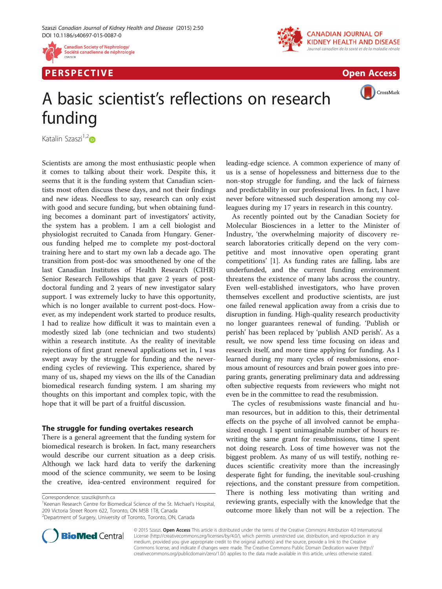

P E R S P E C TIV E Open Access



CrossMark

# A basic scientist's reflections on research funding

Katalin Szaszi $1,2$ 

Scientists are among the most enthusiastic people when it comes to talking about their work. Despite this, it seems that it is the funding system that Canadian scientists most often discuss these days, and not their findings and new ideas. Needless to say, research can only exist with good and secure funding, but when obtaining funding becomes a dominant part of investigators' activity, the system has a problem. I am a cell biologist and physiologist recruited to Canada from Hungary. Generous funding helped me to complete my post-doctoral training here and to start my own lab a decade ago. The transition from post-doc was smoothened by one of the last Canadian Institutes of Health Research (CIHR) Senior Research Fellowships that gave 2 years of postdoctoral funding and 2 years of new investigator salary support. I was extremely lucky to have this opportunity, which is no longer available to current post-docs. However, as my independent work started to produce results, I had to realize how difficult it was to maintain even a modestly sized lab (one technician and two students) within a research institute. As the reality of inevitable rejections of first grant renewal applications set in, I was swept away by the struggle for funding and the neverending cycles of reviewing. This experience, shared by many of us, shaped my views on the ills of the Canadian biomedical research funding system. I am sharing my thoughts on this important and complex topic, with the hope that it will be part of a fruitful discussion.

## The struggle for funding overtakes research

There is a general agreement that the funding system for biomedical research is broken. In fact, many researchers would describe our current situation as a deep crisis. Although we lack hard data to verify the darkening mood of the science community, we seem to be losing the creative, idea-centred environment required for

<sup>1</sup> Keenan Research Centre for Biomedical Science of the St. Michael's Hospital, 209 Victoria Street Room 622, Toronto, ON M5B 1T8, Canada <sup>2</sup>Department of Surgery, University of Toronto, Toronto, ON, Canada

leading-edge science. A common experience of many of us is a sense of hopelessness and bitterness due to the non-stop struggle for funding, and the lack of fairness and predictability in our professional lives. In fact, I have never before witnessed such desperation among my colleagues during my 17 years in research in this country.

As recently pointed out by the Canadian Society for Molecular Biosciences in a letter to the Minister of Industry, 'the overwhelming majority of discovery research laboratories critically depend on the very competitive and most innovative open operating grant competitions' [\[1](#page-3-0)]. As funding rates are falling, labs are underfunded, and the current funding environment threatens the existence of many labs across the country. Even well-established investigators, who have proven themselves excellent and productive scientists, are just one failed renewal application away from a crisis due to disruption in funding. High-quality research productivity no longer guarantees renewal of funding. 'Publish or perish' has been replaced by 'publish AND perish'. As a result, we now spend less time focusing on ideas and research itself, and more time applying for funding. As I learned during my many cycles of resubmissions, enormous amount of resources and brain power goes into preparing grants, generating preliminary data and addressing often subjective requests from reviewers who might not even be in the committee to read the resubmission.

The cycles of resubmissions waste financial and human resources, but in addition to this, their detrimental effects on the psyche of all involved cannot be emphasized enough. I spent unimaginable number of hours rewriting the same grant for resubmissions, time I spent not doing research. Loss of time however was not the biggest problem. As many of us will testify, nothing reduces scientific creativity more than the increasingly desperate fight for funding, the inevitable soul-crushing rejections, and the constant pressure from competition. There is nothing less motivating than writing and reviewing grants, especially with the knowledge that the outcome more likely than not will be a rejection. The



© 2015 Szaszi. Open Access This article is distributed under the terms of the Creative Commons Attribution 4.0 International License ([http://creativecommons.org/licenses/by/4.0/\)](http://creativecommons.org/licenses/by/4.0/), which permits unrestricted use, distribution, and reproduction in any medium, provided you give appropriate credit to the original author(s) and the source, provide a link to the Creative Commons license, and indicate if changes were made. The Creative Commons Public Domain Dedication waiver ([http://](http://creativecommons.org/publicdomain/zero/1.0/) [creativecommons.org/publicdomain/zero/1.0/\)](http://creativecommons.org/publicdomain/zero/1.0/) applies to the data made available in this article, unless otherwise stated.

Correspondence: [szaszik@smh.ca](mailto:szaszik@smh.ca) <sup>1</sup>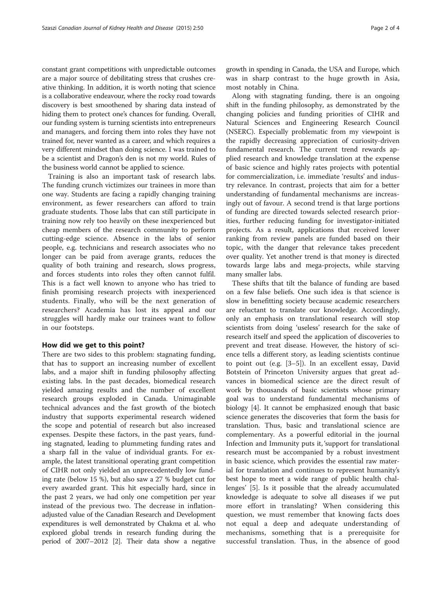constant grant competitions with unpredictable outcomes are a major source of debilitating stress that crushes creative thinking. In addition, it is worth noting that science is a collaborative endeavour, where the rocky road towards discovery is best smoothened by sharing data instead of hiding them to protect one's chances for funding. Overall, our funding system is turning scientists into entrepreneurs and managers, and forcing them into roles they have not trained for, never wanted as a career, and which requires a very different mindset than doing science. I was trained to be a scientist and Dragon's den is not my world. Rules of the business world cannot be applied to science.

Training is also an important task of research labs. The funding crunch victimizes our trainees in more than one way. Students are facing a rapidly changing training environment, as fewer researchers can afford to train graduate students. Those labs that can still participate in training now rely too heavily on these inexperienced but cheap members of the research community to perform cutting-edge science. Absence in the labs of senior people, e.g. technicians and research associates who no longer can be paid from average grants, reduces the quality of both training and research, slows progress, and forces students into roles they often cannot fulfil. This is a fact well known to anyone who has tried to finish promising research projects with inexperienced students. Finally, who will be the next generation of researchers? Academia has lost its appeal and our struggles will hardly make our trainees want to follow in our footsteps.

### How did we get to this point?

There are two sides to this problem: stagnating funding, that has to support an increasing number of excellent labs, and a major shift in funding philosophy affecting existing labs. In the past decades, biomedical research yielded amazing results and the number of excellent research groups exploded in Canada. Unimaginable technical advances and the fast growth of the biotech industry that supports experimental research widened the scope and potential of research but also increased expenses. Despite these factors, in the past years, funding stagnated, leading to plummeting funding rates and a sharp fall in the value of individual grants. For example, the latest transitional operating grant competition of CIHR not only yielded an unprecedentedly low funding rate (below 15 %), but also saw a 27 % budget cut for every awarded grant. This hit especially hard, since in the past 2 years, we had only one competition per year instead of the previous two. The decrease in inflationadjusted value of the Canadian Research and Development expenditures is well demonstrated by Chakma et al. who explored global trends in research funding during the period of 2007–2012 [[2](#page-3-0)]. Their data show a negative

growth in spending in Canada, the USA and Europe, which was in sharp contrast to the huge growth in Asia, most notably in China.

Along with stagnating funding, there is an ongoing shift in the funding philosophy, as demonstrated by the changing policies and funding priorities of CIHR and Natural Sciences and Engineering Research Council (NSERC). Especially problematic from my viewpoint is the rapidly decreasing appreciation of curiosity-driven fundamental research. The current trend rewards applied research and knowledge translation at the expense of basic science and highly rates projects with potential for commercialization, i.e. immediate 'results' and industry relevance. In contrast, projects that aim for a better understanding of fundamental mechanisms are increasingly out of favour. A second trend is that large portions of funding are directed towards selected research priorities, further reducing funding for investigator-initiated projects. As a result, applications that received lower ranking from review panels are funded based on their topic, with the danger that relevance takes precedent over quality. Yet another trend is that money is directed towards large labs and mega-projects, while starving many smaller labs.

These shifts that tilt the balance of funding are based on a few false beliefs. One such idea is that science is slow in benefitting society because academic researchers are reluctant to translate our knowledge. Accordingly, only an emphasis on translational research will stop scientists from doing 'useless' research for the sake of research itself and speed the application of discoveries to prevent and treat disease. However, the history of science tells a different story, as leading scientists continue to point out (e.g. [\[3](#page-3-0)–[5\]](#page-3-0)). In an excellent essay, David Botstein of Princeton University argues that great advances in biomedical science are the direct result of work by thousands of basic scientists whose primary goal was to understand fundamental mechanisms of biology [[4](#page-3-0)]. It cannot be emphasized enough that basic science generates the discoveries that form the basis for translation. Thus, basic and translational science are complementary. As a powerful editorial in the journal Infection and Immunity puts it, 'support for translational research must be accompanied by a robust investment in basic science, which provides the essential raw material for translation and continues to represent humanity's best hope to meet a wide range of public health challenges' [[5\]](#page-3-0). Is it possible that the already accumulated knowledge is adequate to solve all diseases if we put more effort in translating? When considering this question, we must remember that knowing facts does not equal a deep and adequate understanding of mechanisms, something that is a prerequisite for successful translation. Thus, in the absence of good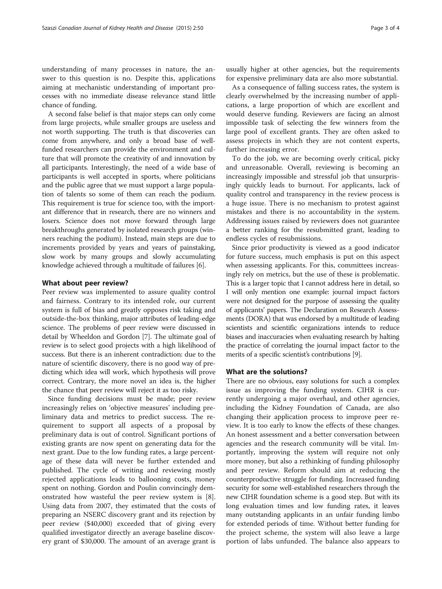understanding of many processes in nature, the answer to this question is no. Despite this, applications aiming at mechanistic understanding of important processes with no immediate disease relevance stand little chance of funding.

A second false belief is that major steps can only come from large projects, while smaller groups are useless and not worth supporting. The truth is that discoveries can come from anywhere, and only a broad base of wellfunded researchers can provide the environment and culture that will promote the creativity of and innovation by all participants. Interestingly, the need of a wide base of participants is well accepted in sports, where politicians and the public agree that we must support a large population of talents so some of them can reach the podium. This requirement is true for science too, with the important difference that in research, there are no winners and losers. Science does not move forward through large breakthroughs generated by isolated research groups (winners reaching the podium). Instead, main steps are due to increments provided by years and years of painstaking, slow work by many groups and slowly accumulating knowledge achieved through a multitude of failures [[6](#page-3-0)].

#### What about peer review?

Peer review was implemented to assure quality control and fairness. Contrary to its intended role, our current system is full of bias and greatly opposes risk taking and outside-the-box thinking, major attributes of leading-edge science. The problems of peer review were discussed in detail by Wheeldon and Gordon [[7](#page-3-0)]. The ultimate goal of review is to select good projects with a high likelihood of success. But there is an inherent contradiction: due to the nature of scientific discovery, there is no good way of predicting which idea will work, which hypothesis will prove correct. Contrary, the more novel an idea is, the higher the chance that peer review will reject it as too risky.

Since funding decisions must be made; peer review increasingly relies on 'objective measures' including preliminary data and metrics to predict success. The requirement to support all aspects of a proposal by preliminary data is out of control. Significant portions of existing grants are now spent on generating data for the next grant. Due to the low funding rates, a large percentage of these data will never be further extended and published. The cycle of writing and reviewing mostly rejected applications leads to ballooning costs, money spent on nothing. Gordon and Poulin convincingly demonstrated how wasteful the peer review system is [\[8](#page-3-0)]. Using data from 2007, they estimated that the costs of preparing an NSERC discovery grant and its rejection by peer review (\$40,000) exceeded that of giving every qualified investigator directly an average baseline discovery grant of \$30,000. The amount of an average grant is

usually higher at other agencies, but the requirements for expensive preliminary data are also more substantial.

As a consequence of falling success rates, the system is clearly overwhelmed by the increasing number of applications, a large proportion of which are excellent and would deserve funding. Reviewers are facing an almost impossible task of selecting the few winners from the large pool of excellent grants. They are often asked to assess projects in which they are not content experts, further increasing error.

To do the job, we are becoming overly critical, picky and unreasonable. Overall, reviewing is becoming an increasingly impossible and stressful job that unsurprisingly quickly leads to burnout. For applicants, lack of quality control and transparency in the review process is a huge issue. There is no mechanism to protest against mistakes and there is no accountability in the system. Addressing issues raised by reviewers does not guarantee a better ranking for the resubmitted grant, leading to endless cycles of resubmissions.

Since prior productivity is viewed as a good indicator for future success, much emphasis is put on this aspect when assessing applicants. For this, committees increasingly rely on metrics, but the use of these is problematic. This is a larger topic that I cannot address here in detail, so I will only mention one example: journal impact factors were not designed for the purpose of assessing the quality of applicants' papers. The Declaration on Research Assessments (DORA) that was endorsed by a multitude of leading scientists and scientific organizations intends to reduce biases and inaccuracies when evaluating research by halting the practice of correlating the journal impact factor to the merits of a specific scientist's contributions [\[9\]](#page-3-0).

#### What are the solutions?

There are no obvious, easy solutions for such a complex issue as improving the funding system. CIHR is currently undergoing a major overhaul, and other agencies, including the Kidney Foundation of Canada, are also changing their application process to improve peer review. It is too early to know the effects of these changes. An honest assessment and a better conversation between agencies and the research community will be vital. Importantly, improving the system will require not only more money, but also a rethinking of funding philosophy and peer review. Reform should aim at reducing the counterproductive struggle for funding. Increased funding security for some well-established researchers through the new CIHR foundation scheme is a good step. But with its long evaluation times and low funding rates, it leaves many outstanding applicants in an unfair funding limbo for extended periods of time. Without better funding for the project scheme, the system will also leave a large portion of labs unfunded. The balance also appears to